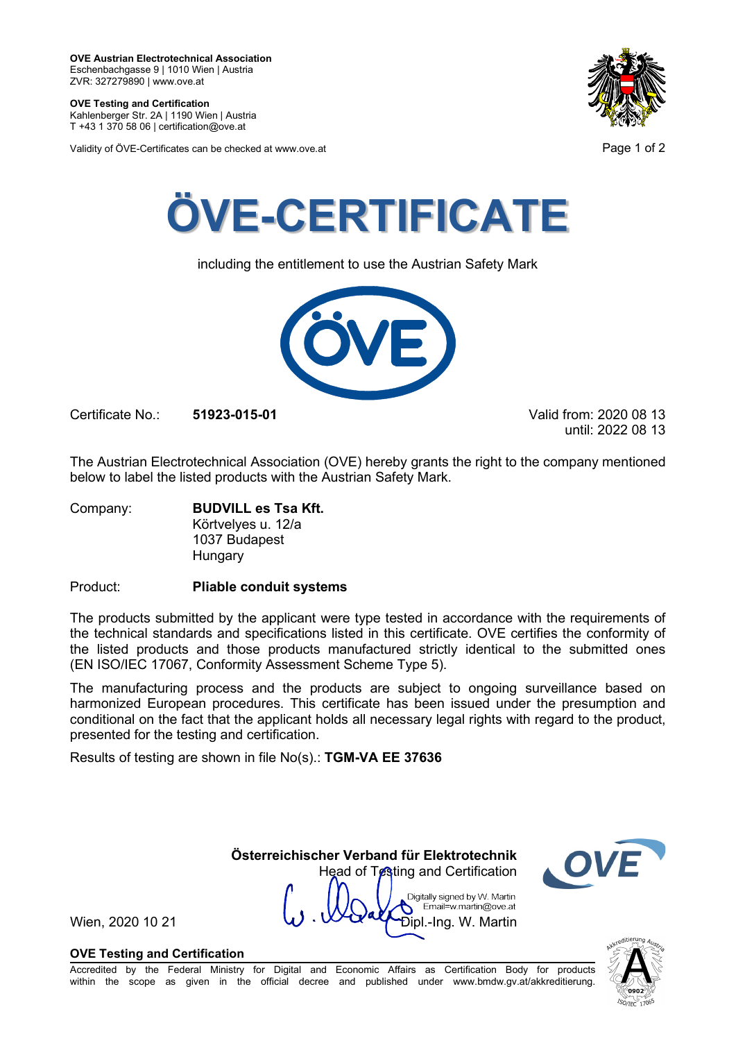**OVE Testing and Certification** Kahlenberger Str. 2A | 1190 Wien | Austria

T +43 1 370 58 06 | certification@ove.at

Validity of ÖVE-Certificates can be checked at www.ove.at **Page 1 of 2** and 2





including the entitlement to use the Austrian Safety Mark



Certificate No.: **51923-015-01** Valid from: 2020 08 13

until: 2022 08 13

The Austrian Electrotechnical Association (OVE) hereby grants the right to the company mentioned below to label the listed products with the Austrian Safety Mark.

Company: **BUDVILL es Tsa Kft.** Körtvelyes u. 12/a 1037 Budapest Hungary

Product: **Pliable conduit systems**

The products submitted by the applicant were type tested in accordance with the requirements of the technical standards and specifications listed in this certificate. OVE certifies the conformity of the listed products and those products manufactured strictly identical to the submitted ones (EN ISO/IEC 17067, Conformity Assessment Scheme Type 5).

The manufacturing process and the products are subject to ongoing surveillance based on harmonized European procedures. This certificate has been issued under the presumption and conditional on the fact that the applicant holds all necessary legal rights with regard to the product, presented for the testing and certification.

Results of testing are shown in file No(s).: **TGM-VA EE 37636**

 **Österreichischer Verband für Elektrotechnik** Head of Testing and Certification Digitally signed by W. Martin Email=w.martin@ove.at

Wien, 2020 10 21  $\mathbf{W} \cdot \mathbf{W}$   $\mathbf{W}$   $\mathbf{W}$   $\mathbf{D}$   $\mathbf{p}$   $\mathbf{L}$   $\mathbf{P}$   $\mathbf{D}$   $\mathbf{p}$   $\mathbf{L}$   $\mathbf{P}$   $\mathbf{S}$   $\mathbf{R}$   $\mathbf{S}$   $\mathbf{R}$   $\mathbf{S}$   $\mathbf{S}$   $\mathbf{S}$   $\mathbf{S}$   $\mathbf{S}$   $\mathbf{S}$   $\mathbf{S}$ 

# **OVE Testing and Certification**

Accredited by the Federal Ministry for Digital and Economic Affairs as Certification Body for products within the scope as given in the official decree and published under www.bmdw.gv.at/akkreditierung.